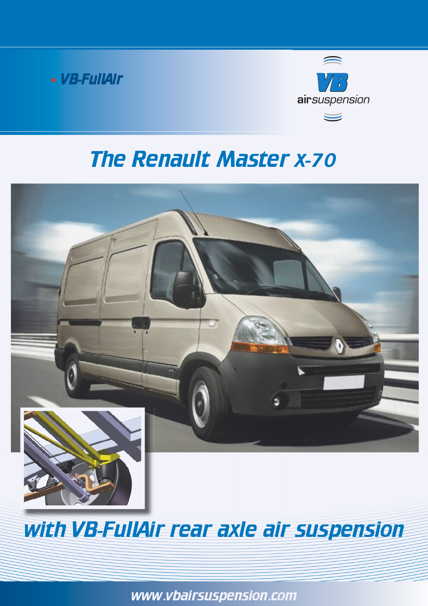



# The Renault Master x-70



# with VB-FullAir rear axle air suspension

www.vbairsuspension.com